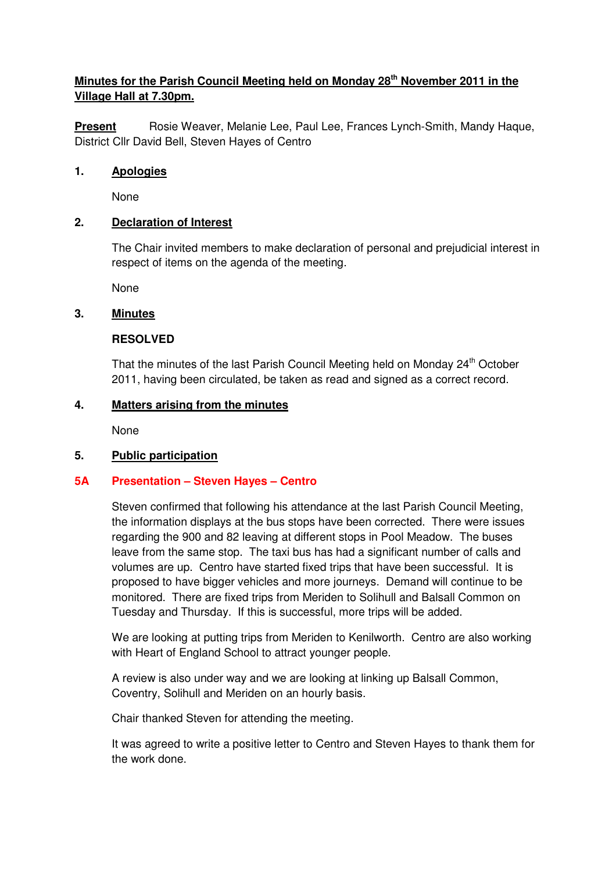# **Minutes for the Parish Council Meeting held on Monday 28th November 2011 in the Village Hall at 7.30pm.**

**Present** Rosie Weaver, Melanie Lee, Paul Lee, Frances Lynch-Smith, Mandy Haque, District Cllr David Bell, Steven Hayes of Centro

### **1. Apologies**

None

### **2. Declaration of Interest**

The Chair invited members to make declaration of personal and prejudicial interest in respect of items on the agenda of the meeting.

None

### **3. Minutes**

#### **RESOLVED**

That the minutes of the last Parish Council Meeting held on Monday 24<sup>th</sup> October 2011, having been circulated, be taken as read and signed as a correct record.

#### **4. Matters arising from the minutes**

None

#### **5. Public participation**

## **5A Presentation – Steven Hayes – Centro**

Steven confirmed that following his attendance at the last Parish Council Meeting, the information displays at the bus stops have been corrected. There were issues regarding the 900 and 82 leaving at different stops in Pool Meadow. The buses leave from the same stop. The taxi bus has had a significant number of calls and volumes are up. Centro have started fixed trips that have been successful. It is proposed to have bigger vehicles and more journeys. Demand will continue to be monitored. There are fixed trips from Meriden to Solihull and Balsall Common on Tuesday and Thursday. If this is successful, more trips will be added.

 We are looking at putting trips from Meriden to Kenilworth. Centro are also working with Heart of England School to attract younger people.

 A review is also under way and we are looking at linking up Balsall Common, Coventry, Solihull and Meriden on an hourly basis.

Chair thanked Steven for attending the meeting.

 It was agreed to write a positive letter to Centro and Steven Hayes to thank them for the work done.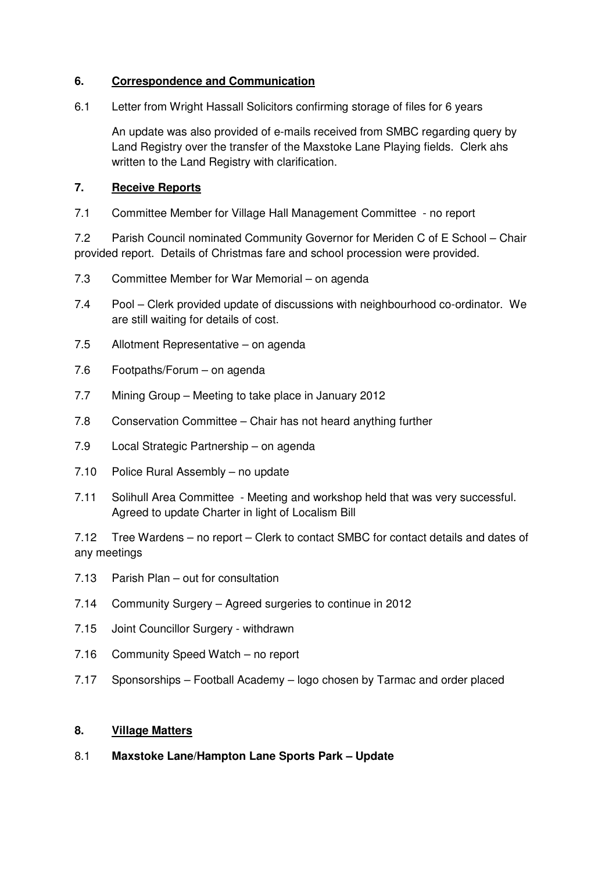#### **6. Correspondence and Communication**

6.1 Letter from Wright Hassall Solicitors confirming storage of files for 6 years

 An update was also provided of e-mails received from SMBC regarding query by Land Registry over the transfer of the Maxstoke Lane Playing fields. Clerk ahs written to the Land Registry with clarification.

## **7. Receive Reports**

7.1 Committee Member for Village Hall Management Committee - no report

7.2 Parish Council nominated Community Governor for Meriden C of E School – Chair provided report. Details of Christmas fare and school procession were provided.

- 7.3 Committee Member for War Memorial on agenda
- 7.4 Pool Clerk provided update of discussions with neighbourhood co-ordinator. We are still waiting for details of cost.
- 7.5 Allotment Representative on agenda
- 7.6 Footpaths/Forum on agenda
- 7.7 Mining Group Meeting to take place in January 2012
- 7.8 Conservation Committee Chair has not heard anything further
- 7.9 Local Strategic Partnership on agenda
- 7.10 Police Rural Assembly no update
- 7.11 Solihull Area Committee Meeting and workshop held that was very successful. Agreed to update Charter in light of Localism Bill

7.12 Tree Wardens – no report – Clerk to contact SMBC for contact details and dates of any meetings

- 7.13 Parish Plan out for consultation
- 7.14 Community Surgery Agreed surgeries to continue in 2012
- 7.15 Joint Councillor Surgery withdrawn
- 7.16 Community Speed Watch no report
- 7.17 Sponsorships Football Academy logo chosen by Tarmac and order placed

#### **8. Village Matters**

8.1 **Maxstoke Lane/Hampton Lane Sports Park – Update**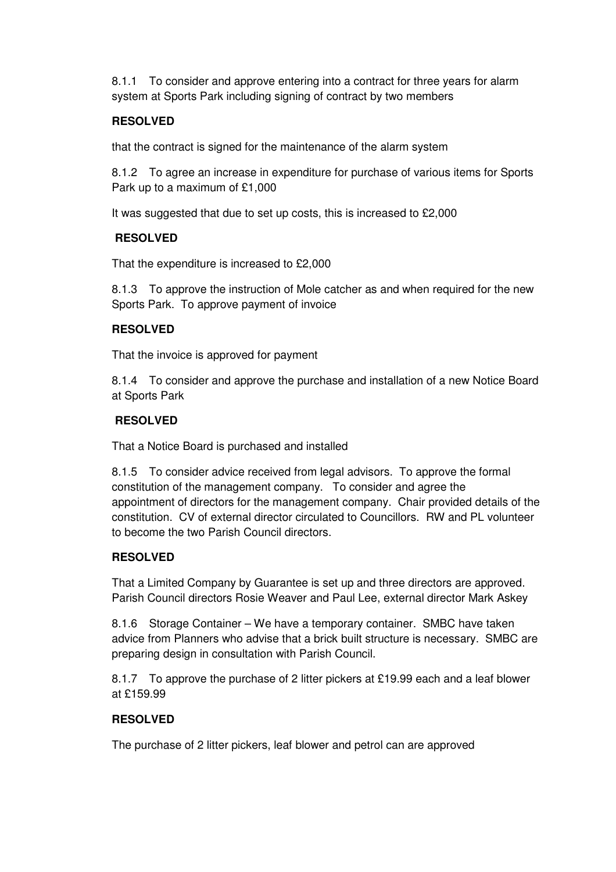8.1.1 To consider and approve entering into a contract for three years for alarm system at Sports Park including signing of contract by two members

## **RESOLVED**

that the contract is signed for the maintenance of the alarm system

8.1.2 To agree an increase in expenditure for purchase of various items for Sports Park up to a maximum of £1,000

It was suggested that due to set up costs, this is increased to £2,000

## **RESOLVED**

That the expenditure is increased to £2,000

8.1.3 To approve the instruction of Mole catcher as and when required for the new Sports Park. To approve payment of invoice

## **RESOLVED**

That the invoice is approved for payment

8.1.4 To consider and approve the purchase and installation of a new Notice Board at Sports Park

# **RESOLVED**

That a Notice Board is purchased and installed

 8.1.5 To consider advice received from legal advisors. To approve the formal constitution of the management company. To consider and agree the appointment of directors for the management company. Chair provided details of the constitution. CV of external director circulated to Councillors. RW and PL volunteer to become the two Parish Council directors.

## **RESOLVED**

That a Limited Company by Guarantee is set up and three directors are approved. Parish Council directors Rosie Weaver and Paul Lee, external director Mark Askey

8.1.6 Storage Container – We have a temporary container. SMBC have taken advice from Planners who advise that a brick built structure is necessary. SMBC are preparing design in consultation with Parish Council.

 8.1.7 To approve the purchase of 2 litter pickers at £19.99 each and a leaf blower at £159.99

## **RESOLVED**

The purchase of 2 litter pickers, leaf blower and petrol can are approved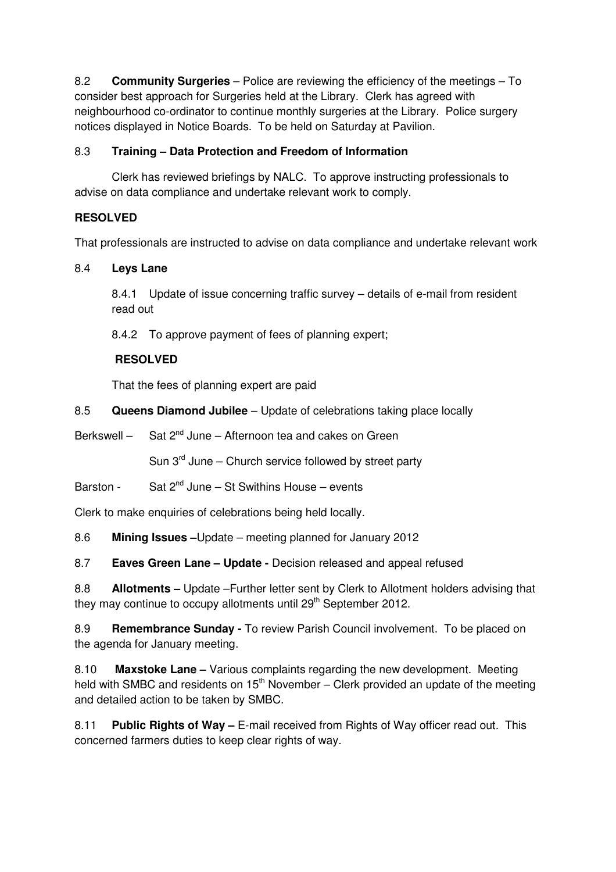8.2 **Community Surgeries** – Police are reviewing the efficiency of the meetings – To consider best approach for Surgeries held at the Library. Clerk has agreed with neighbourhood co-ordinator to continue monthly surgeries at the Library. Police surgery notices displayed in Notice Boards. To be held on Saturday at Pavilion.

# 8.3 **Training – Data Protection and Freedom of Information**

Clerk has reviewed briefings by NALC. To approve instructing professionals to advise on data compliance and undertake relevant work to comply.

# **RESOLVED**

That professionals are instructed to advise on data compliance and undertake relevant work

# 8.4 **Leys Lane**

8.4.1 Update of issue concerning traffic survey – details of e-mail from resident read out

8.4.2 To approve payment of fees of planning expert;

# **RESOLVED**

That the fees of planning expert are paid

8.5 **Queens Diamond Jubilee** – Update of celebrations taking place locally

Berkswell  $-$  Sat  $2^{nd}$  June – Afternoon tea and cakes on Green

Sun  $3<sup>rd</sup>$  June – Church service followed by street party

Barston - Sat  $2^{nd}$  June – St Swithins House – events

Clerk to make enquiries of celebrations being held locally.

8.6 **Mining Issues –**Update – meeting planned for January 2012

8.7 **Eaves Green Lane – Update -** Decision released and appeal refused

8.8 **Allotments –** Update –Further letter sent by Clerk to Allotment holders advising that they may continue to occupy allotments until  $29<sup>th</sup>$  September 2012.

8.9 **Remembrance Sunday -** To review Parish Council involvement. To be placed on the agenda for January meeting.

8.10 **Maxstoke Lane –** Various complaints regarding the new development. Meeting held with SMBC and residents on  $15<sup>th</sup>$  November – Clerk provided an update of the meeting and detailed action to be taken by SMBC.

8.11 **Public Rights of Way –** E-mail received from Rights of Way officer read out. This concerned farmers duties to keep clear rights of way.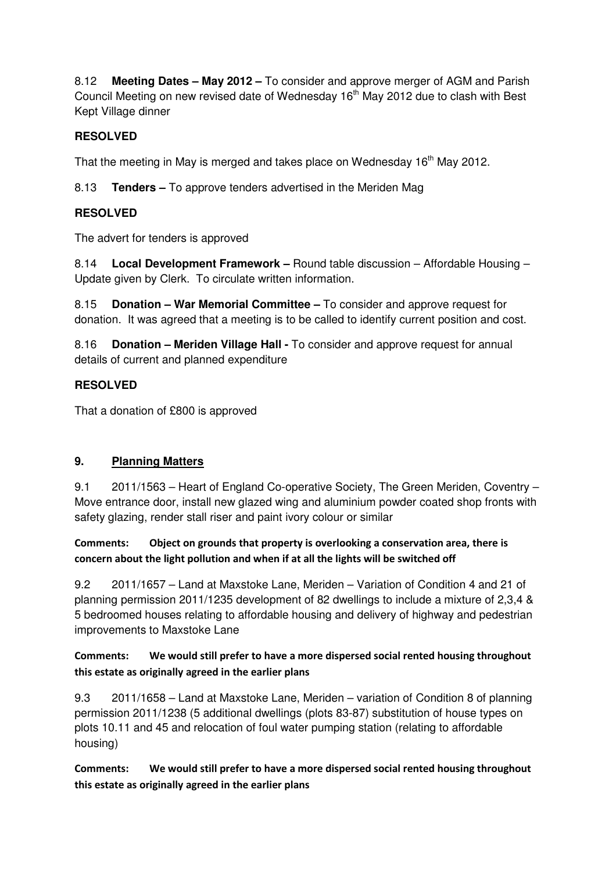8.12 **Meeting Dates – May 2012 –** To consider and approve merger of AGM and Parish Council Meeting on new revised date of Wednesday 16<sup>th</sup> May 2012 due to clash with Best Kept Village dinner

# **RESOLVED**

That the meeting in May is merged and takes place on Wednesday 16<sup>th</sup> May 2012.

8.13 **Tenders –** To approve tenders advertised in the Meriden Mag

# **RESOLVED**

The advert for tenders is approved

8.14 **Local Development Framework –** Round table discussion – Affordable Housing – Update given by Clerk. To circulate written information.

8.15 **Donation – War Memorial Committee –** To consider and approve request for donation. It was agreed that a meeting is to be called to identify current position and cost.

8.16 **Donation – Meriden Village Hall -** To consider and approve request for annual details of current and planned expenditure

# **RESOLVED**

That a donation of £800 is approved

# **9. Planning Matters**

9.1 2011/1563 – Heart of England Co-operative Society, The Green Meriden, Coventry – Move entrance door, install new glazed wing and aluminium powder coated shop fronts with safety glazing, render stall riser and paint ivory colour or similar

Comments: Object on grounds that property is overlooking a conservation area, there is concern about the light pollution and when if at all the lights will be switched off

9.2 2011/1657 – Land at Maxstoke Lane, Meriden – Variation of Condition 4 and 21 of planning permission 2011/1235 development of 82 dwellings to include a mixture of 2,3,4 & 5 bedroomed houses relating to affordable housing and delivery of highway and pedestrian improvements to Maxstoke Lane

# Comments: We would still prefer to have a more dispersed social rented housing throughout this estate as originally agreed in the earlier plans

9.3 2011/1658 – Land at Maxstoke Lane, Meriden – variation of Condition 8 of planning permission 2011/1238 (5 additional dwellings (plots 83-87) substitution of house types on plots 10.11 and 45 and relocation of foul water pumping station (relating to affordable housing)

Comments: We would still prefer to have a more dispersed social rented housing throughout this estate as originally agreed in the earlier plans